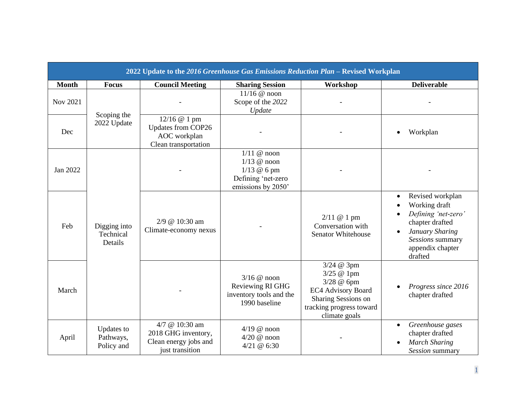| 2022 Update to the 2016 Greenhouse Gas Emissions Reduction Plan - Revised Workplan |                                       |                                                                                   |                                                                                                     |                                                                                                                                         |                                                                                                                                                                |  |  |
|------------------------------------------------------------------------------------|---------------------------------------|-----------------------------------------------------------------------------------|-----------------------------------------------------------------------------------------------------|-----------------------------------------------------------------------------------------------------------------------------------------|----------------------------------------------------------------------------------------------------------------------------------------------------------------|--|--|
| <b>Month</b>                                                                       | <b>Focus</b>                          | <b>Council Meeting</b>                                                            | <b>Sharing Session</b>                                                                              | Workshop                                                                                                                                | <b>Deliverable</b>                                                                                                                                             |  |  |
| Nov 2021                                                                           | Scoping the<br>2022 Update            |                                                                                   | $11/16$ @ noon<br>Scope of the 2022<br>Update                                                       |                                                                                                                                         |                                                                                                                                                                |  |  |
| Dec                                                                                |                                       | 12/16 @ 1 pm<br>Updates from COP26<br>AOC workplan<br>Clean transportation        |                                                                                                     |                                                                                                                                         | Workplan                                                                                                                                                       |  |  |
| Jan 2022                                                                           | Digging into<br>Technical<br>Details  |                                                                                   | $1/11$ @ noon<br>$1/13$ @ noon<br>$1/13 @ 6 \text{ pm}$<br>Defining 'net-zero<br>emissions by 2050' |                                                                                                                                         |                                                                                                                                                                |  |  |
| Feb                                                                                |                                       | 2/9 @ 10:30 am<br>Climate-economy nexus                                           |                                                                                                     | 2/11 @ 1 pm<br>Conversation with<br><b>Senator Whitehouse</b>                                                                           | Revised workplan<br>$\bullet$<br>Working draft<br>Defining 'net-zero'<br>chapter drafted<br>January Sharing<br>Sessions summary<br>appendix chapter<br>drafted |  |  |
| March                                                                              |                                       |                                                                                   | $3/16$ @ noon<br>Reviewing RI GHG<br>inventory tools and the<br>1990 baseline                       | 3/24 @ 3pm<br>3/25 @ 1pm<br>3/28 @ 6pm<br><b>EC4 Advisory Board</b><br>Sharing Sessions on<br>tracking progress toward<br>climate goals | Progress since 2016<br>chapter drafted                                                                                                                         |  |  |
| April                                                                              | Updates to<br>Pathways,<br>Policy and | 4/7 @ 10:30 am<br>2018 GHG inventory,<br>Clean energy jobs and<br>just transition | $4/19$ @ noon<br>$4/20$ @ noon<br>4/21 @ 6:30                                                       |                                                                                                                                         | Greenhouse gases<br>chapter drafted<br><b>March Sharing</b><br>Session summary                                                                                 |  |  |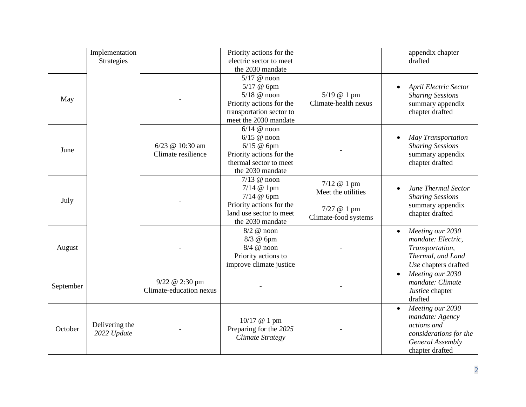|           | Implementation<br><b>Strategies</b> |                                           | Priority actions for the<br>electric sector to meet<br>the 2030 mandate                                                       |                                                                          | appendix chapter<br>drafted                                                                                                      |
|-----------|-------------------------------------|-------------------------------------------|-------------------------------------------------------------------------------------------------------------------------------|--------------------------------------------------------------------------|----------------------------------------------------------------------------------------------------------------------------------|
| May       |                                     |                                           | $5/17$ @ noon<br>5/17 @ 6pm<br>$5/18$ @ noon<br>Priority actions for the<br>transportation sector to<br>meet the 2030 mandate | 5/19 @ 1 pm<br>Climate-health nexus                                      | <b>April Electric Sector</b><br><b>Sharing Sessions</b><br>summary appendix<br>chapter drafted                                   |
| June      |                                     | 6/23 @ 10:30 am<br>Climate resilience     | $6/14$ @ noon<br>$6/15$ @ noon<br>$6/15$ @ 6pm<br>Priority actions for the<br>thermal sector to meet<br>the 2030 mandate      |                                                                          | May Transportation<br><b>Sharing Sessions</b><br>summary appendix<br>chapter drafted                                             |
| July      |                                     |                                           | $7/13$ @ noon<br>7/14 @ 1pm<br>$7/14$ @ 6pm<br>Priority actions for the<br>land use sector to meet<br>the 2030 mandate        | 7/12 @ 1 pm<br>Meet the utilities<br>7/27 @ 1 pm<br>Climate-food systems | June Thermal Sector<br><b>Sharing Sessions</b><br>summary appendix<br>chapter drafted                                            |
| August    |                                     |                                           | $8/2$ @ noon<br>8/3 @ 6pm<br>$8/4$ @ noon<br>Priority actions to<br>improve climate justice                                   |                                                                          | Meeting our 2030<br>$\bullet$<br>mandate: Electric,<br>Transportation,<br>Thermal, and Land<br>Use chapters drafted              |
| September |                                     | 9/22 @ 2:30 pm<br>Climate-education nexus |                                                                                                                               |                                                                          | Meeting our 2030<br>mandate: Climate<br>Justice chapter<br>drafted                                                               |
| October   | Delivering the<br>2022 Update       |                                           | $10/17$ @ 1 pm<br>Preparing for the 2025<br><b>Climate Strategy</b>                                                           |                                                                          | Meeting our 2030<br>$\bullet$<br>mandate: Agency<br>actions and<br>considerations for the<br>General Assembly<br>chapter drafted |